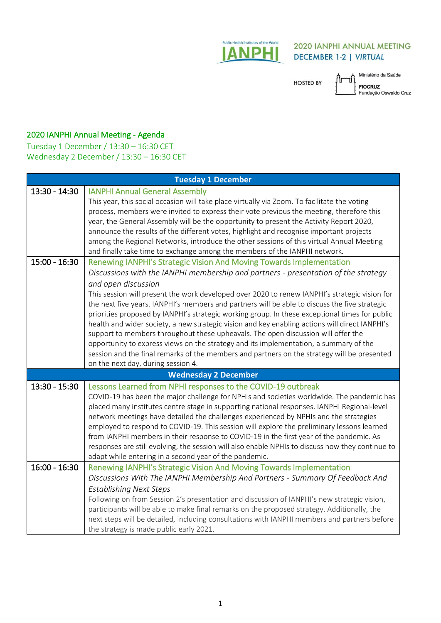

## **2020 IANPHI ANNUAL MEETING DECEMBER 1-2 | VIRTUAL**

**HOSTED BY** 

Ar Ministério da Saúde FIOCRUZ<br>Fundação Oswaldo Cruz

## 2020 IANPHI Annual Meeting - Agenda

Tuesday 1 December / 13:30 – 16:30 CET Wednesday 2 December / 13:30 – 16:30 CET

| <b>Tuesday 1 December</b>   |                                                                                                  |
|-----------------------------|--------------------------------------------------------------------------------------------------|
| 13:30 - 14:30               | <b>IANPHI Annual General Assembly</b>                                                            |
|                             | This year, this social occasion will take place virtually via Zoom. To facilitate the voting     |
|                             | process, members were invited to express their vote previous the meeting, therefore this         |
|                             | year, the General Assembly will be the opportunity to present the Activity Report 2020,          |
|                             | announce the results of the different votes, highlight and recognise important projects          |
|                             | among the Regional Networks, introduce the other sessions of this virtual Annual Meeting         |
|                             | and finally take time to exchange among the members of the IANPHI network.                       |
| $15:00 - 16:30$             | Renewing IANPHI's Strategic Vision And Moving Towards Implementation                             |
|                             | Discussions with the IANPHI membership and partners - presentation of the strategy               |
|                             | and open discussion                                                                              |
|                             | This session will present the work developed over 2020 to renew IANPHI's strategic vision for    |
|                             | the next five years. IANPHI's members and partners will be able to discuss the five strategic    |
|                             | priorities proposed by IANPHI's strategic working group. In these exceptional times for public   |
|                             | health and wider society, a new strategic vision and key enabling actions will direct IANPHI's   |
|                             | support to members throughout these upheavals. The open discussion will offer the                |
|                             | opportunity to express views on the strategy and its implementation, a summary of the            |
|                             | session and the final remarks of the members and partners on the strategy will be presented      |
|                             | on the next day, during session 4.                                                               |
| <b>Wednesday 2 December</b> |                                                                                                  |
| 13:30 - 15:30               | Lessons Learned from NPHI responses to the COVID-19 outbreak                                     |
|                             | COVID-19 has been the major challenge for NPHIs and societies worldwide. The pandemic has        |
|                             | placed many institutes centre stage in supporting national responses. IANPHI Regional-level      |
|                             | network meetings have detailed the challenges experienced by NPHIs and the strategies            |
|                             | employed to respond to COVID-19. This session will explore the preliminary lessons learned       |
|                             | from IANPHI members in their response to COVID-19 in the first year of the pandemic. As          |
|                             | responses are still evolving, the session will also enable NPHIs to discuss how they continue to |
|                             | adapt while entering in a second year of the pandemic.                                           |
| $16:00 - 16:30$             | Renewing IANPHI's Strategic Vision And Moving Towards Implementation                             |
|                             | Discussions With The IANPHI Membership And Partners - Summary Of Feedback And                    |
|                             | <b>Establishing Next Steps</b>                                                                   |
|                             | Following on from Session 2's presentation and discussion of IANPHI's new strategic vision,      |
|                             | participants will be able to make final remarks on the proposed strategy. Additionally, the      |
|                             | next steps will be detailed, including consultations with IANPHI members and partners before     |
|                             | the strategy is made public early 2021.                                                          |